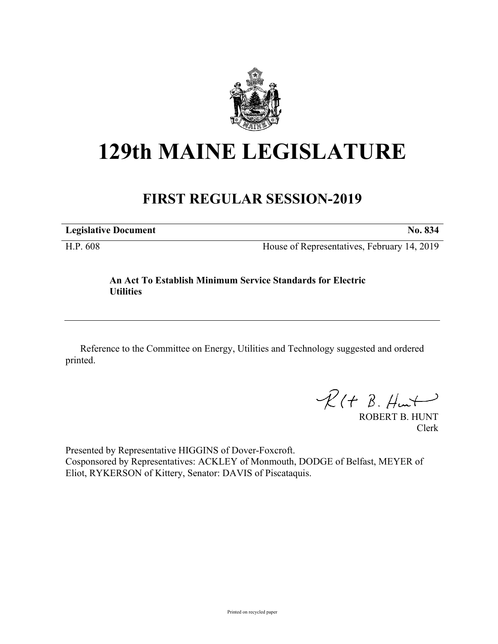

## **129th MAINE LEGISLATURE**

## **FIRST REGULAR SESSION-2019**

**Legislative Document No. 834**

H.P. 608 House of Representatives, February 14, 2019

## **An Act To Establish Minimum Service Standards for Electric Utilities**

Reference to the Committee on Energy, Utilities and Technology suggested and ordered printed.

 $R(H B. H<sub>un</sub>+)$ 

ROBERT B. HUNT Clerk

Presented by Representative HIGGINS of Dover-Foxcroft. Cosponsored by Representatives: ACKLEY of Monmouth, DODGE of Belfast, MEYER of Eliot, RYKERSON of Kittery, Senator: DAVIS of Piscataquis.